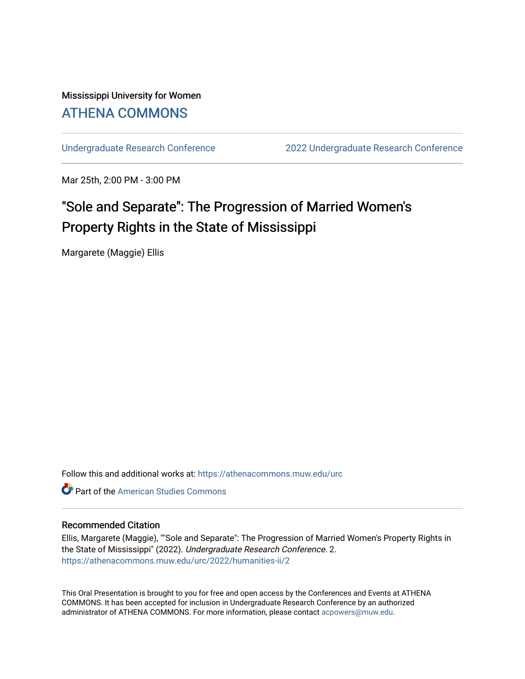# Mississippi University for Women [ATHENA COMMONS](https://athenacommons.muw.edu/)

[Undergraduate Research Conference](https://athenacommons.muw.edu/urc) [2022 Undergraduate Research Conference](https://athenacommons.muw.edu/urc/2022) 

Mar 25th, 2:00 PM - 3:00 PM

# "Sole and Separate": The Progression of Married Women's Property Rights in the State of Mississippi

Margarete (Maggie) Ellis

Follow this and additional works at: [https://athenacommons.muw.edu/urc](https://athenacommons.muw.edu/urc?utm_source=athenacommons.muw.edu%2Furc%2F2022%2Fhumanities-ii%2F2&utm_medium=PDF&utm_campaign=PDFCoverPages) 

**C** Part of the [American Studies Commons](http://network.bepress.com/hgg/discipline/439?utm_source=athenacommons.muw.edu%2Furc%2F2022%2Fhumanities-ii%2F2&utm_medium=PDF&utm_campaign=PDFCoverPages)

#### Recommended Citation

Ellis, Margarete (Maggie), ""Sole and Separate": The Progression of Married Women's Property Rights in the State of Mississippi" (2022). Undergraduate Research Conference. 2. [https://athenacommons.muw.edu/urc/2022/humanities-ii/2](https://athenacommons.muw.edu/urc/2022/humanities-ii/2?utm_source=athenacommons.muw.edu%2Furc%2F2022%2Fhumanities-ii%2F2&utm_medium=PDF&utm_campaign=PDFCoverPages) 

This Oral Presentation is brought to you for free and open access by the Conferences and Events at ATHENA COMMONS. It has been accepted for inclusion in Undergraduate Research Conference by an authorized administrator of ATHENA COMMONS. For more information, please contact [acpowers@muw.edu](mailto:acpowers@muw.edu).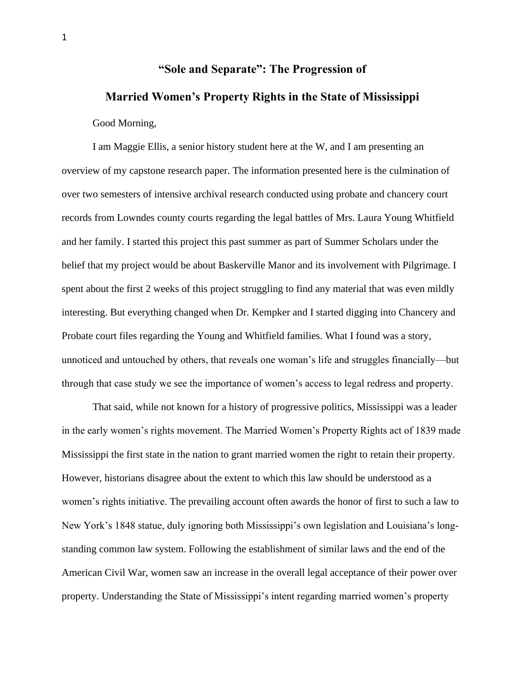## **"Sole and Separate": The Progression of**

## **Married Women's Property Rights in the State of Mississippi**

#### Good Morning,

I am Maggie Ellis, a senior history student here at the W, and I am presenting an overview of my capstone research paper. The information presented here is the culmination of over two semesters of intensive archival research conducted using probate and chancery court records from Lowndes county courts regarding the legal battles of Mrs. Laura Young Whitfield and her family. I started this project this past summer as part of Summer Scholars under the belief that my project would be about Baskerville Manor and its involvement with Pilgrimage. I spent about the first 2 weeks of this project struggling to find any material that was even mildly interesting. But everything changed when Dr. Kempker and I started digging into Chancery and Probate court files regarding the Young and Whitfield families. What I found was a story, unnoticed and untouched by others, that reveals one woman's life and struggles financially—but through that case study we see the importance of women's access to legal redress and property.

That said, while not known for a history of progressive politics, Mississippi was a leader in the early women's rights movement. The Married Women's Property Rights act of 1839 made Mississippi the first state in the nation to grant married women the right to retain their property. However, historians disagree about the extent to which this law should be understood as a women's rights initiative. The prevailing account often awards the honor of first to such a law to New York's 1848 statue, duly ignoring both Mississippi's own legislation and Louisiana's longstanding common law system. Following the establishment of similar laws and the end of the American Civil War, women saw an increase in the overall legal acceptance of their power over property. Understanding the State of Mississippi's intent regarding married women's property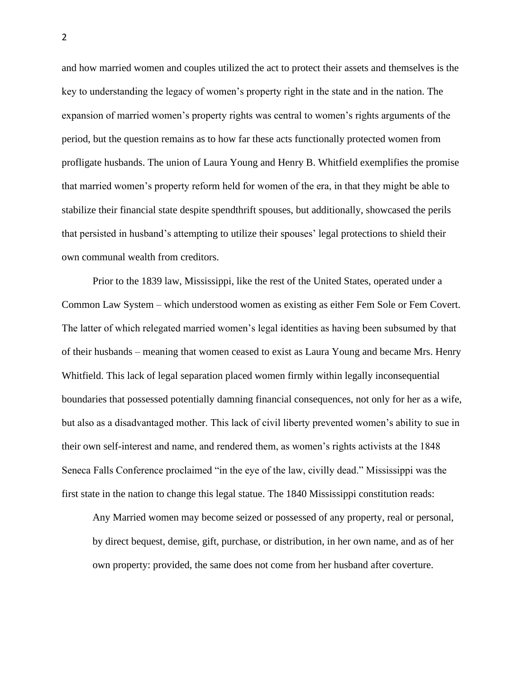and how married women and couples utilized the act to protect their assets and themselves is the key to understanding the legacy of women's property right in the state and in the nation. The expansion of married women's property rights was central to women's rights arguments of the period, but the question remains as to how far these acts functionally protected women from profligate husbands. The union of Laura Young and Henry B. Whitfield exemplifies the promise that married women's property reform held for women of the era, in that they might be able to stabilize their financial state despite spendthrift spouses, but additionally, showcased the perils that persisted in husband's attempting to utilize their spouses' legal protections to shield their own communal wealth from creditors.

Prior to the 1839 law, Mississippi, like the rest of the United States, operated under a Common Law System – which understood women as existing as either Fem Sole or Fem Covert. The latter of which relegated married women's legal identities as having been subsumed by that of their husbands – meaning that women ceased to exist as Laura Young and became Mrs. Henry Whitfield. This lack of legal separation placed women firmly within legally inconsequential boundaries that possessed potentially damning financial consequences, not only for her as a wife, but also as a disadvantaged mother. This lack of civil liberty prevented women's ability to sue in their own self-interest and name, and rendered them, as women's rights activists at the 1848 Seneca Falls Conference proclaimed "in the eye of the law, civilly dead." Mississippi was the first state in the nation to change this legal statue. The 1840 Mississippi constitution reads:

Any Married women may become seized or possessed of any property, real or personal, by direct bequest, demise, gift, purchase, or distribution, in her own name, and as of her own property: provided, the same does not come from her husband after coverture.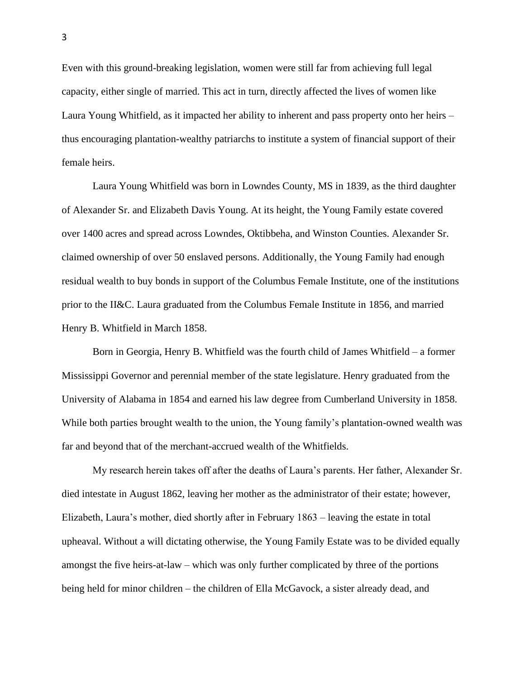Even with this ground-breaking legislation, women were still far from achieving full legal capacity, either single of married. This act in turn, directly affected the lives of women like Laura Young Whitfield, as it impacted her ability to inherent and pass property onto her heirs – thus encouraging plantation-wealthy patriarchs to institute a system of financial support of their female heirs.

Laura Young Whitfield was born in Lowndes County, MS in 1839, as the third daughter of Alexander Sr. and Elizabeth Davis Young. At its height, the Young Family estate covered over 1400 acres and spread across Lowndes, Oktibbeha, and Winston Counties. Alexander Sr. claimed ownership of over 50 enslaved persons. Additionally, the Young Family had enough residual wealth to buy bonds in support of the Columbus Female Institute, one of the institutions prior to the II&C. Laura graduated from the Columbus Female Institute in 1856, and married Henry B. Whitfield in March 1858.

Born in Georgia, Henry B. Whitfield was the fourth child of James Whitfield – a former Mississippi Governor and perennial member of the state legislature. Henry graduated from the University of Alabama in 1854 and earned his law degree from Cumberland University in 1858. While both parties brought wealth to the union, the Young family's plantation-owned wealth was far and beyond that of the merchant-accrued wealth of the Whitfields.

My research herein takes off after the deaths of Laura's parents. Her father, Alexander Sr. died intestate in August 1862, leaving her mother as the administrator of their estate; however, Elizabeth, Laura's mother, died shortly after in February 1863 – leaving the estate in total upheaval. Without a will dictating otherwise, the Young Family Estate was to be divided equally amongst the five heirs-at-law – which was only further complicated by three of the portions being held for minor children – the children of Ella McGavock, a sister already dead, and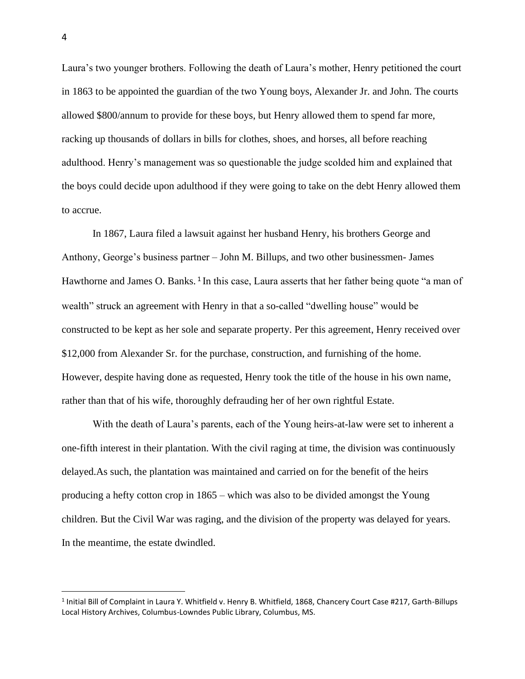Laura's two younger brothers. Following the death of Laura's mother, Henry petitioned the court in 1863 to be appointed the guardian of the two Young boys, Alexander Jr. and John. The courts allowed \$800/annum to provide for these boys, but Henry allowed them to spend far more, racking up thousands of dollars in bills for clothes, shoes, and horses, all before reaching adulthood. Henry's management was so questionable the judge scolded him and explained that the boys could decide upon adulthood if they were going to take on the debt Henry allowed them to accrue.

In 1867, Laura filed a lawsuit against her husband Henry, his brothers George and Anthony, George's business partner – John M. Billups, and two other businessmen- James Hawthorne and James O. Banks.<sup>1</sup> In this case, Laura asserts that her father being quote "a man of wealth" struck an agreement with Henry in that a so-called "dwelling house" would be constructed to be kept as her sole and separate property. Per this agreement, Henry received over \$12,000 from Alexander Sr. for the purchase, construction, and furnishing of the home. However, despite having done as requested, Henry took the title of the house in his own name, rather than that of his wife, thoroughly defrauding her of her own rightful Estate.

With the death of Laura's parents, each of the Young heirs-at-law were set to inherent a one-fifth interest in their plantation. With the civil raging at time, the division was continuously delayed.As such, the plantation was maintained and carried on for the benefit of the heirs producing a hefty cotton crop in 1865 – which was also to be divided amongst the Young children. But the Civil War was raging, and the division of the property was delayed for years. In the meantime, the estate dwindled.

<sup>&</sup>lt;sup>1</sup> Initial Bill of Complaint in Laura Y. Whitfield v. Henry B. Whitfield, 1868, Chancery Court Case #217, Garth-Billups Local History Archives, Columbus-Lowndes Public Library, Columbus, MS.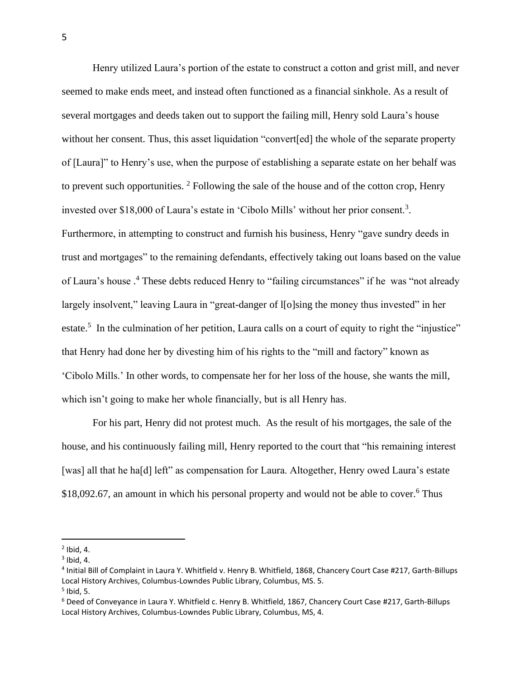Henry utilized Laura's portion of the estate to construct a cotton and grist mill, and never seemed to make ends meet, and instead often functioned as a financial sinkhole. As a result of several mortgages and deeds taken out to support the failing mill, Henry sold Laura's house without her consent. Thus, this asset liquidation "convert[ed] the whole of the separate property of [Laura]" to Henry's use, when the purpose of establishing a separate estate on her behalf was to prevent such opportunities.  $2$  Following the sale of the house and of the cotton crop, Henry invested over \$18,000 of Laura's estate in 'Cibolo Mills' without her prior consent.<sup>3</sup>. Furthermore, in attempting to construct and furnish his business, Henry "gave sundry deeds in trust and mortgages" to the remaining defendants, effectively taking out loans based on the value of Laura's house .<sup>4</sup> These debts reduced Henry to "failing circumstances" if he was "not already largely insolvent," leaving Laura in "great-danger of l[o]sing the money thus invested" in her estate.<sup>5</sup> In the culmination of her petition, Laura calls on a court of equity to right the "injustice" that Henry had done her by divesting him of his rights to the "mill and factory" known as 'Cibolo Mills.' In other words, to compensate her for her loss of the house, she wants the mill, which isn't going to make her whole financially, but is all Henry has.

For his part, Henry did not protest much. As the result of his mortgages, the sale of the house, and his continuously failing mill, Henry reported to the court that "his remaining interest [was] all that he ha[d] left" as compensation for Laura. Altogether, Henry owed Laura's estate \$18,092.67, an amount in which his personal property and would not be able to cover.<sup>6</sup> Thus

 $<sup>2</sup>$  Ibid, 4.</sup>

 $3$  Ibid, 4.

<sup>4</sup> Initial Bill of Complaint in Laura Y. Whitfield v. Henry B. Whitfield, 1868, Chancery Court Case #217, Garth-Billups Local History Archives, Columbus-Lowndes Public Library, Columbus, MS. 5. 5 Ibid, 5.

<sup>6</sup> Deed of Conveyance in Laura Y. Whitfield c. Henry B. Whitfield, 1867, Chancery Court Case #217, Garth-Billups Local History Archives, Columbus-Lowndes Public Library, Columbus, MS, 4.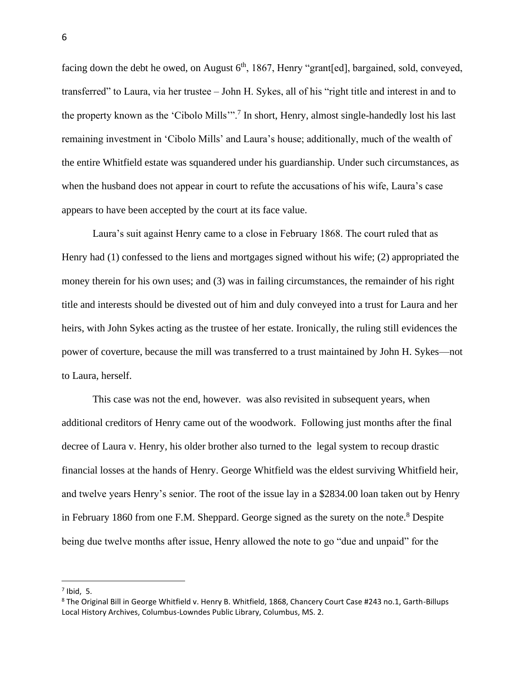facing down the debt he owed, on August  $6<sup>th</sup>$ , 1867, Henry "grant[ed], bargained, sold, conveyed, transferred" to Laura, via her trustee – John H. Sykes, all of his "right title and interest in and to the property known as the 'Cibolo Mills'".<sup>7</sup> In short, Henry, almost single-handedly lost his last remaining investment in 'Cibolo Mills' and Laura's house; additionally, much of the wealth of the entire Whitfield estate was squandered under his guardianship. Under such circumstances, as when the husband does not appear in court to refute the accusations of his wife, Laura's case appears to have been accepted by the court at its face value.

Laura's suit against Henry came to a close in February 1868. The court ruled that as Henry had (1) confessed to the liens and mortgages signed without his wife; (2) appropriated the money therein for his own uses; and (3) was in failing circumstances, the remainder of his right title and interests should be divested out of him and duly conveyed into a trust for Laura and her heirs, with John Sykes acting as the trustee of her estate. Ironically, the ruling still evidences the power of coverture, because the mill was transferred to a trust maintained by John H. Sykes—not to Laura, herself.

This case was not the end, however. was also revisited in subsequent years, when additional creditors of Henry came out of the woodwork. Following just months after the final decree of Laura v. Henry, his older brother also turned to the legal system to recoup drastic financial losses at the hands of Henry. George Whitfield was the eldest surviving Whitfield heir, and twelve years Henry's senior. The root of the issue lay in a \$2834.00 loan taken out by Henry in February 1860 from one F.M. Sheppard. George signed as the surety on the note.<sup>8</sup> Despite being due twelve months after issue, Henry allowed the note to go "due and unpaid" for the

 $^7$  Ibid, 5.

<sup>8</sup> The Original Bill in George Whitfield v. Henry B. Whitfield, 1868, Chancery Court Case #243 no.1, Garth-Billups Local History Archives, Columbus-Lowndes Public Library, Columbus, MS. 2.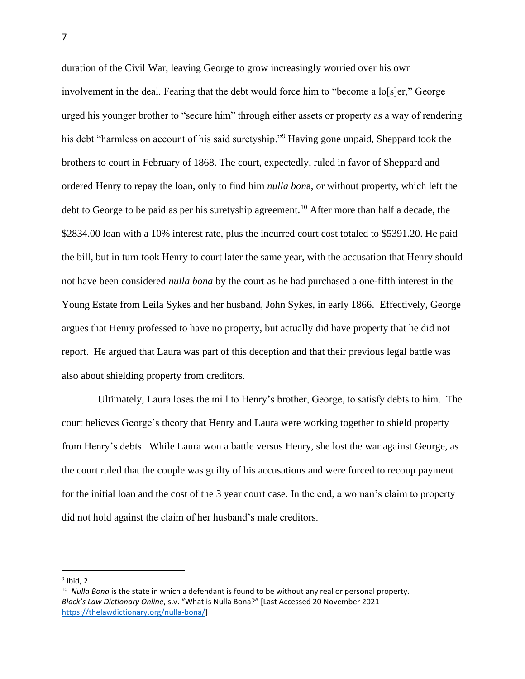duration of the Civil War, leaving George to grow increasingly worried over his own involvement in the deal. Fearing that the debt would force him to "become a lo[s]er," George urged his younger brother to "secure him" through either assets or property as a way of rendering his debt "harmless on account of his said suretyship."<sup>9</sup> Having gone unpaid, Sheppard took the brothers to court in February of 1868. The court, expectedly, ruled in favor of Sheppard and ordered Henry to repay the loan, only to find him *nulla bon*a, or without property, which left the debt to George to be paid as per his suretyship agreement.<sup>10</sup> After more than half a decade, the \$2834.00 loan with a 10% interest rate, plus the incurred court cost totaled to \$5391.20. He paid the bill, but in turn took Henry to court later the same year, with the accusation that Henry should not have been considered *nulla bona* by the court as he had purchased a one-fifth interest in the Young Estate from Leila Sykes and her husband, John Sykes, in early 1866. Effectively, George argues that Henry professed to have no property, but actually did have property that he did not report. He argued that Laura was part of this deception and that their previous legal battle was also about shielding property from creditors.

 Ultimately, Laura loses the mill to Henry's brother, George, to satisfy debts to him. The court believes George's theory that Henry and Laura were working together to shield property from Henry's debts. While Laura won a battle versus Henry, she lost the war against George, as the court ruled that the couple was guilty of his accusations and were forced to recoup payment for the initial loan and the cost of the 3 year court case. In the end, a woman's claim to property did not hold against the claim of her husband's male creditors.

 $<sup>9</sup>$  Ibid, 2.</sup>

<sup>10</sup> *Nulla Bona* is the state in which a defendant is found to be without any real or personal property. *Black's Law Dictionary Online*, s.v. "What is Nulla Bona?" [Last Accessed 20 November 2021 [https://thelawdictionary.org/nulla-bona/\]](https://thelawdictionary.org/nulla-bona/)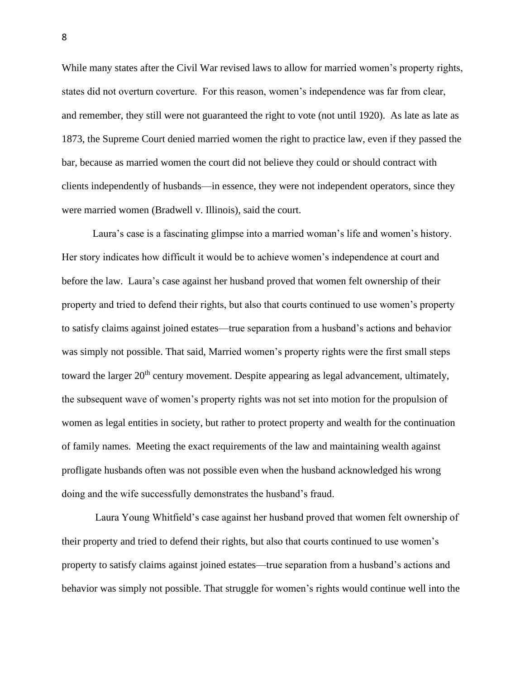While many states after the Civil War revised laws to allow for married women's property rights, states did not overturn coverture. For this reason, women's independence was far from clear, and remember, they still were not guaranteed the right to vote (not until 1920). As late as late as 1873, the Supreme Court denied married women the right to practice law, even if they passed the bar, because as married women the court did not believe they could or should contract with clients independently of husbands—in essence, they were not independent operators, since they were married women (Bradwell v. Illinois), said the court.

Laura's case is a fascinating glimpse into a married woman's life and women's history. Her story indicates how difficult it would be to achieve women's independence at court and before the law. Laura's case against her husband proved that women felt ownership of their property and tried to defend their rights, but also that courts continued to use women's property to satisfy claims against joined estates—true separation from a husband's actions and behavior was simply not possible. That said, Married women's property rights were the first small steps toward the larger 20<sup>th</sup> century movement. Despite appearing as legal advancement, ultimately, the subsequent wave of women's property rights was not set into motion for the propulsion of women as legal entities in society, but rather to protect property and wealth for the continuation of family names. Meeting the exact requirements of the law and maintaining wealth against profligate husbands often was not possible even when the husband acknowledged his wrong doing and the wife successfully demonstrates the husband's fraud.

Laura Young Whitfield's case against her husband proved that women felt ownership of their property and tried to defend their rights, but also that courts continued to use women's property to satisfy claims against joined estates—true separation from a husband's actions and behavior was simply not possible. That struggle for women's rights would continue well into the